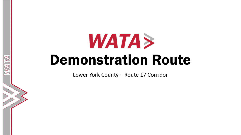Lower York County – Route 17 Corridor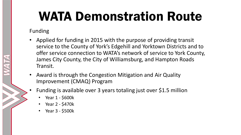#### Funding

- Applied for funding in 2015 with the purpose of providing transit service to the County of York's Edgehill and Yorktown Districts and to offer service connection to WATA's network of service to York County, James City County, the City of Williamsburg, and Hampton Roads Transit.
- Award is through the Congestion Mitigation and Air Quality Improvement (CMAQ) Program
- Funding is available over 3 years totaling just over \$1.5 million
	- Year 1 \$600k
	- Year 2 \$470k
	- Year 3 \$500k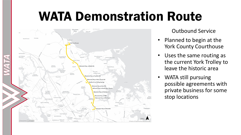

Outbound Service

- Planned to begin at the York County Courthouse
- Uses the same routing as the current York Trolley to leave the historic area
- WATA still pursuing possible agreements with private business for some stop locations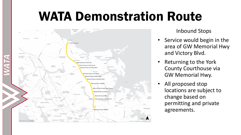

Inbound Stops

- Service would begin in the area of GW Memorial Hwy and Victory Blvd.
- Returning to the York County Courthouse via GW Memorial Hwy.
- All proposed stop locations are subject to change based on permitting and private agreements.